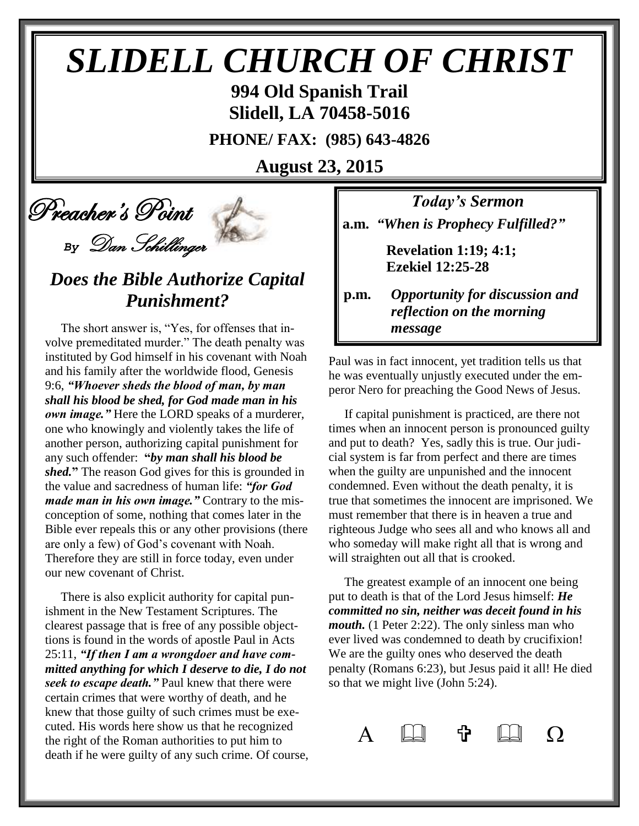# *SLIDELL CHURCH OF CHRIST*

**994 Old Spanish Trail Slidell, LA 70458-5016**

**PHONE/ FAX: (985) 643-4826**

**August 23, 2015**

Preacher's Point

*By* Dan Schillinger

## *Does the Bible Authorize Capital Punishment?*

 The short answer is, "Yes, for offenses that involve premeditated murder." The death penalty was instituted by God himself in his covenant with Noah and his family after the worldwide flood, Genesis 9:6, *"Whoever sheds the blood of man, by man shall his blood be shed, for God made man in his own image."* Here the LORD speaks of a murderer, one who knowingly and violently takes the life of another person, authorizing capital punishment for any such offender: **"***by man shall his blood be shed.***"** The reason God gives for this is grounded in the value and sacredness of human life: *"for God made man in his own image."* Contrary to the misconception of some, nothing that comes later in the Bible ever repeals this or any other provisions (there are only a few) of God's covenant with Noah. Therefore they are still in force today, even under our new covenant of Christ.

 There is also explicit authority for capital punishment in the New Testament Scriptures. The clearest passage that is free of any possible objecttions is found in the words of apostle Paul in Acts 25:11, *"If then I am a wrongdoer and have committed anything for which I deserve to die, I do not seek to escape death."* Paul knew that there were certain crimes that were worthy of death, and he knew that those guilty of such crimes must be executed. His words here show us that he recognized the right of the Roman authorities to put him to death if he were guilty of any such crime. Of course,

*Today's Sermon* **a.m.** *"When is Prophecy Fulfilled?"*

> **Revelation 1:19; 4:1; Ezekiel 12:25-28**

**p.m.** *Opportunity for discussion and*  *reflection on the morning message*

Paul was in fact innocent, yet tradition tells us that he was eventually unjustly executed under the emperor Nero for preaching the Good News of Jesus.

 If capital punishment is practiced, are there not times when an innocent person is pronounced guilty and put to death? Yes, sadly this is true. Our judicial system is far from perfect and there are times when the guilty are unpunished and the innocent condemned. Even without the death penalty, it is true that sometimes the innocent are imprisoned. We must remember that there is in heaven a true and righteous Judge who sees all and who knows all and who someday will make right all that is wrong and will straighten out all that is crooked.

 The greatest example of an innocent one being put to death is that of the Lord Jesus himself: *He committed no sin, neither was deceit found in his mouth.* (1 Peter 2:22). The only sinless man who ever lived was condemned to death by crucifixion! We are the guilty ones who deserved the death penalty (Romans 6:23), but Jesus paid it all! He died so that we might live (John 5:24).

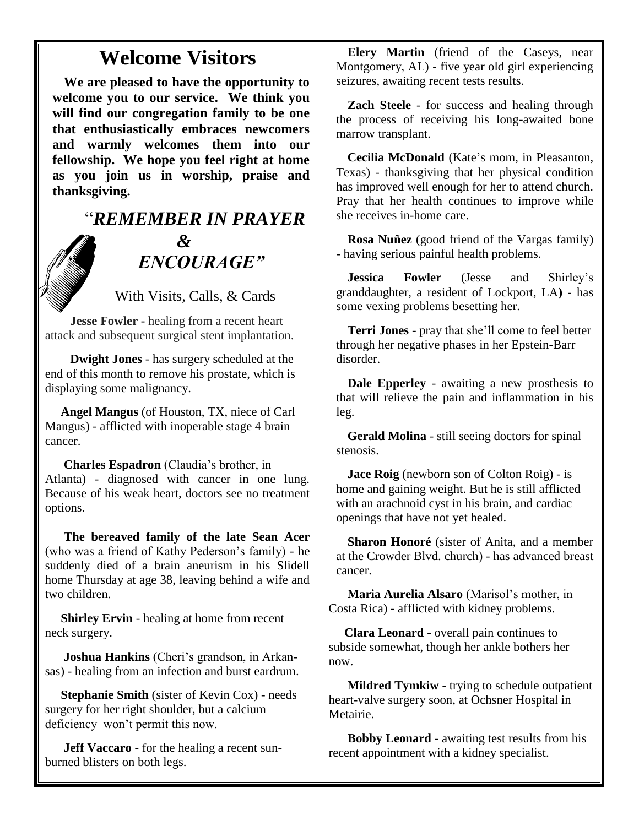#### **Welcome Visitors**

**We are pleased to have the opportunity to welcome you to our service. We think you will find our congregation family to be one that enthusiastically embraces newcomers and warmly welcomes them into our fellowship. We hope you feel right at home as you join us in worship, praise and thanksgiving.**

## "*REMEMBER IN PRAYER &* " *ENCOURAGE"*

With Visits, Calls, & Cards

 **Jesse Fowler -** healing from a recent heart attack and subsequent surgical stent implantation.

 **Dwight Jones** - has surgery scheduled at the end of this month to remove his prostate, which is displaying some malignancy.

 **Angel Mangus** (of Houston, TX, niece of Carl Mangus) - afflicted with inoperable stage 4 brain cancer.

**Charles Espadron** (Claudia's brother, in Atlanta) - diagnosed with cancer in one lung. Because of his weak heart, doctors see no treatment options.

 **The bereaved family of the late Sean Acer** (who was a friend of Kathy Pederson's family) - he suddenly died of a brain aneurism in his Slidell home Thursday at age 38, leaving behind a wife and two children.

 **Shirley Ervin** - healing at home from recent neck surgery.

 **Joshua Hankins** (Cheri's grandson, in Arkansas) - healing from an infection and burst eardrum.

 **Stephanie Smith** (sister of Kevin Cox) - needs surgery for her right shoulder, but a calcium deficiency won't permit this now.

 **Jeff Vaccaro** - for the healing a recent sunburned blisters on both legs.

**Elery Martin** (friend of the Caseys, near Montgomery, AL) - five year old girl experiencing seizures, awaiting recent tests results.

**Zach Steele** - for success and healing through the process of receiving his long-awaited bone marrow transplant.

**Cecilia McDonald** (Kate's mom, in Pleasanton, Texas) - thanksgiving that her physical condition has improved well enough for her to attend church. Pray that her health continues to improve while she receives in-home care.

**Rosa Nuñez** (good friend of the Vargas family) - having serious painful health problems.

**Jessica Fowler** (Jesse and Shirley's granddaughter, a resident of Lockport, LA**)** - has some vexing problems besetting her.

**Terri Jones** - pray that she'll come to feel better through her negative phases in her Epstein-Barr disorder.

**Dale Epperley** - awaiting a new prosthesis to that will relieve the pain and inflammation in his leg.

**Gerald Molina** - still seeing doctors for spinal stenosis.

**Jace Roig** (newborn son of Colton Roig) - is home and gaining weight. But he is still afflicted with an arachnoid cyst in his brain, and cardiac openings that have not yet healed.

**Sharon Honoré** (sister of Anita, and a member at the Crowder Blvd. church) - has advanced breast cancer.

 **Maria Aurelia Alsaro** (Marisol's mother, in Costa Rica) - afflicted with kidney problems.

 **Clara Leonard** - overall pain continues to subside somewhat, though her ankle bothers her now.

 **Mildred Tymkiw** - trying to schedule outpatient heart-valve surgery soon, at Ochsner Hospital in Metairie.

 **Bobby Leonard** - awaiting test results from his recent appointment with a kidney specialist.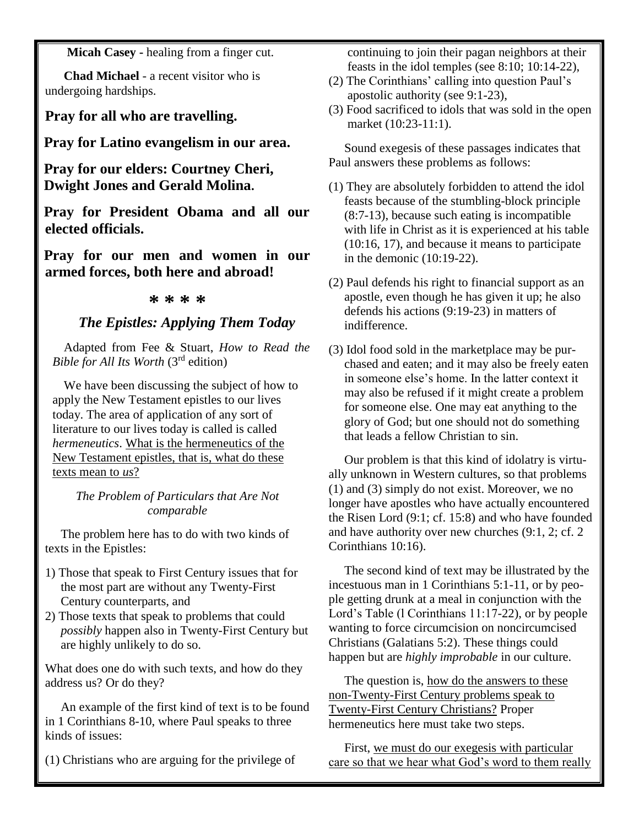**Micah Casey -** healing from a finger cut.

 **Chad Michael** - a recent visitor who is undergoing hardships.

**Pray for all who are travelling.**

**Pray for Latino evangelism in our area.**

**Pray for our elders: Courtney Cheri, Dwight Jones and Gerald Molina.**

**Pray for President Obama and all our elected officials.**

**Pray for our men and women in our armed forces, both here and abroad!**

#### **\* \* \* \***

#### *The Epistles: Applying Them Today*

Adapted from Fee & Stuart, *How to Read the Bible for All Its Worth* (3rd edition)

We have been discussing the subject of how to apply the New Testament epistles to our lives today. The area of application of any sort of literature to our lives today is called is called *hermeneutics*. What is the hermeneutics of the New Testament epistles, that is, what do these texts mean to *us*?

*The Problem of Particulars that Are Not comparable*

 The problem here has to do with two kinds of texts in the Epistles:

- 1) Those that speak to First Century issues that for the most part are without any Twenty-First Century counterparts, and
- 2) Those texts that speak to problems that could *possibly* happen also in Twenty-First Century but are highly unlikely to do so.

What does one do with such texts, and how do they address us? Or do they?

 An example of the first kind of text is to be found in 1 Corinthians 8-10, where Paul speaks to three kinds of issues:

(1) Christians who are arguing for the privilege of

 continuing to join their pagan neighbors at their feasts in the idol temples (see 8:10; 10:14-22),

- (2) The Corinthians' calling into question Paul's apostolic authority (see 9:1-23),
- (3) Food sacrificed to idols that was sold in the open market (10:23-11:1).

 Sound exegesis of these passages indicates that Paul answers these problems as follows:

- (1) They are absolutely forbidden to attend the idol feasts because of the stumbling-block principle (8:7-13), because such eating is incompatible with life in Christ as it is experienced at his table (10:16, 17), and because it means to participate in the demonic (10:19-22).
- (2) Paul defends his right to financial support as an apostle, even though he has given it up; he also defends his actions (9:19-23) in matters of indifference.
- (3) Idol food sold in the marketplace may be pur chased and eaten; and it may also be freely eaten in someone else's home. In the latter context it may also be refused if it might create a problem for someone else. One may eat anything to the glory of God; but one should not do something that leads a fellow Christian to sin.

 Our problem is that this kind of idolatry is virtually unknown in Western cultures, so that problems (1) and (3) simply do not exist. Moreover, we no longer have apostles who have actually encountered the Risen Lord (9:1; cf. 15:8) and who have founded and have authority over new churches (9:1, 2; cf. 2 Corinthians 10:16).

 The second kind of text may be illustrated by the incestuous man in 1 Corinthians 5:1-11, or by people getting drunk at a meal in conjunction with the Lord's Table (l Corinthians 11:17-22), or by people wanting to force circumcision on noncircumcised Christians (Galatians 5:2). These things could happen but are *highly improbable* in our culture.

 The question is, how do the answers to these non-Twenty-First Century problems speak to Twenty-First Century Christians? Proper hermeneutics here must take two steps.

 First, we must do our exegesis with particular care so that we hear what God's word to them really